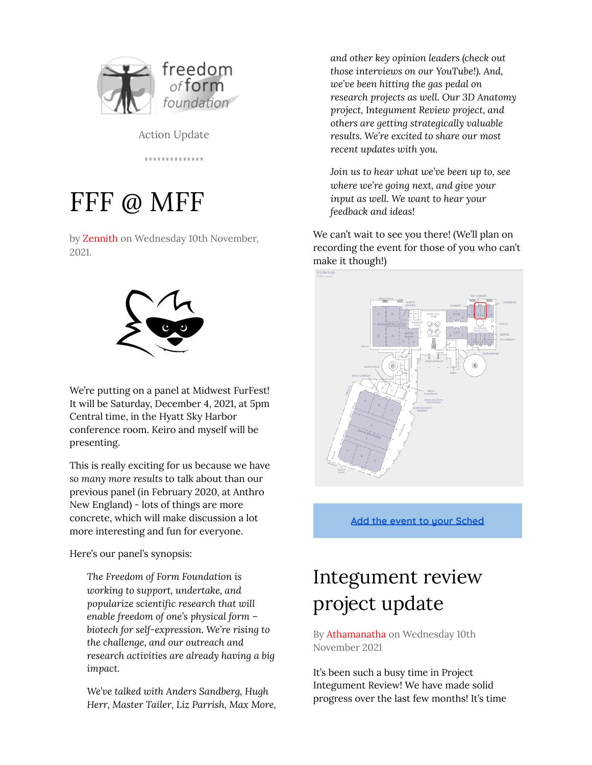

Action Update

. . . . . . . . . . . . . .

# FFF @ MFF

by Zennith on Wednesday 10th November, 2021.



We're putting on a panel at Midwest FurFest! It will be Saturday, December 4, 2021, at 5pm Central time, in the Hyatt Sky Harbor conference room. Keiro and myself will be presenting.

This is really exciting for us because we have *so many more results* to talk about than our previous panel (in February 2020, at Anthro New England) - lots of things are more concrete, which will make discussion a lot more interesting and fun for everyone.

Here's our panel's synopsis:

*The Freedom of Form Foundation is working to support, undertake, and popularize scientific research that will enable freedom of one's physical form – biotech for self-expression. We're rising to the challenge, and our outreach and research activities are already having a big impact.*

*We've talked with Anders Sandberg, Hugh Herr, Master Tailer, Liz Parrish, Max More,* *and other key opinion leaders (check out those interviews on our YouTube!). And, we've been hitting the gas pedal on research projects as well. Our 3D Anatomy project, Integument Review project, and others are getting strategically valuable results. We're excited to share our most recent updates with you.*

*Join us to hear what we've been up to, see where we're going next, and give your input as well. We want to hear your feedback and ideas!*

We can't wait to see you there! (We'll plan on recording the event for those of you who can't make it though!)



**Add the event to your [Sched](https://mff2021.sched.com/event/pqZJ/freedom-of-form-make-it-real)**

## Integument review project update

By Athamanatha on Wednesday 10th November 2021

It's been such a busy time in Project Integument Review! We have made solid progress over the last few months! It's time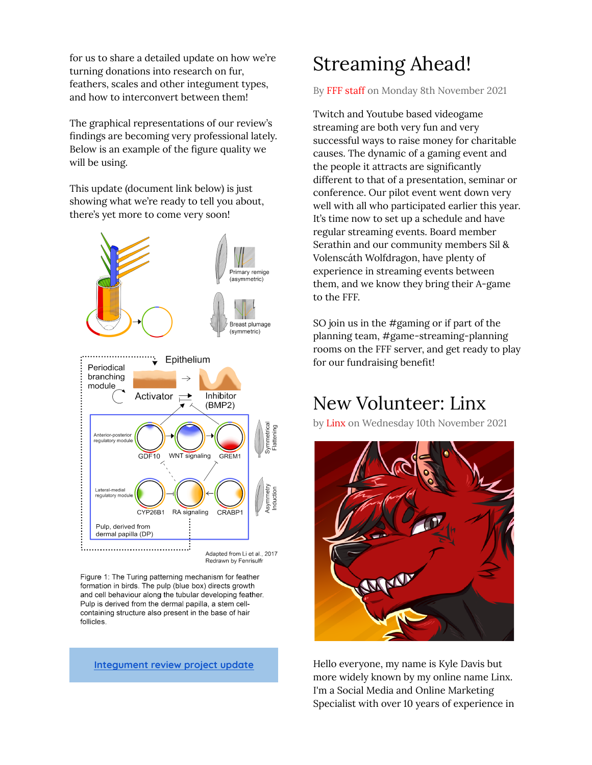for us to share a detailed update on how we're turning donations into research on fur, feathers, scales and other integument types, and how to interconvert between them!

The graphical representations of our review's findings are becoming very professional lately. Below is an example of the figure quality we will be using.

This update (document link below) is just showing what we're ready to tell you about, there's yet more to come very soon!



Figure 1: The Turing patterning mechanism for feather formation in birds. The pulp (blue box) directs growth and cell behaviour along the tubular developing feather. Pulp is derived from the dermal papilla, a stem cellcontaining structure also present in the base of hair follicles.

#### **[Integument](https://freedomofform.org/3836/integument-update-nov-2021/) review project update**

#### Streaming Ahead!

By FFF staff on Monday 8th November 2021

Twitch and Youtube based videogame streaming are both very fun and very successful ways to raise money for charitable causes. The dynamic of a gaming event and the people it attracts are significantly different to that of a presentation, seminar or conference. Our pilot event went down very well with all who participated earlier this year. It's time now to set up a schedule and have regular streaming events. Board member Serathin and our community members Sil & Volenscáth Wolfdragon, have plenty of experience in streaming events between them, and we know they bring their A-game to the FFF.

SO join us in the #gaming or if part of the planning team, #game-streaming-planning rooms on the FFF server, and get ready to play for our fundraising benefit!

#### New Volunteer: Linx

by Linx on Wednesday 10th November 2021



Hello everyone, my name is Kyle Davis but more widely known by my online name Linx. I'm a Social Media and Online Marketing Specialist with over 10 years of experience in